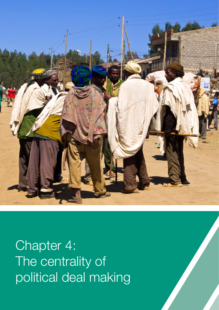

Chapter 4: The centrality of political deal making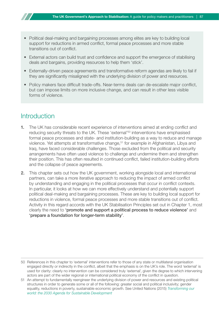- Political deal-making and bargaining processes among elites are key to building local support for reductions in armed conflict, formal peace processes and more stable transitions out of conflict.
- External actors can build trust and confidence and support the emergence of stabilising deals and bargains, providing resources to help them 'stick'.
- Externally-driven peace agreements and transformative reform agendas are likely to fail if they are significantly misaligned with the underlying division of power and resources.
- Policy makers face difficult trade-offs. Near-terms deals can de-escalate major conflict, but can impose limits on more inclusive change, and can result in other less visible forms of violence.

## **Introduction**

- 1. The UK has considerable recent experience of interventions aimed at ending conflict and reducing security threats to the UK. These 'external'<sup>50</sup> interventions have emphasised formal peace processes and state- and institution-building as a way to reduce and manage violence. Yet attempts at transformative change,<sup>51</sup> for example in Afghanistan, Libya and Iraq, have faced considerable challenges. Those excluded from the political and security arrangements have often used violence to challenge and undermine them and strengthen their position. This has often resulted in continued conflict, failed institution-building efforts and the collapse of peace agreements.
- 2. This chapter sets out how the UK government, working alongside local and international partners, can take a more iterative approach to reducing the impact of armed conflict by understanding and engaging in the political processes that occur in conflict contexts. In particular, it looks at how we can more effectively understand and potentially support political deal-making and bargaining processes. These are key to building local support for reductions in violence, formal peace processes and more stable transitions out of conflict. Activity in this regard accords with the UK Stabilisation Principles set out in Chapter 1, most clearly the need to 'promote and support a political process to reduce violence' and 'prepare a foundation for longer-term stability'.

<sup>50</sup> References in this chapter to 'external' interventions refer to those of any state or multilateral organisation engaged directly or indirectly in the conflict, albeit that the emphasis is on the UK's role. The word 'external' is used for clarity: clearly no intervention can be considered truly 'external', given the degree to which intervening actors are part of the wider regional or international political economy of the conflict in question.

<sup>51</sup> An attempt to fundamentally reengineer the underlying division of power and resources and existing political structures in order to generate some or all of the following: greater social and political inclusivity; gender equality, reductions in poverty, sustainable economic growth. See United Nations (2015) *[Transforming our](http://www.un.org/ga/search/view_doc.asp?symbol=A/RES/70/1&Lang=E)  [world: the 2030 Agenda for Sustainable Development](http://www.un.org/ga/search/view_doc.asp?symbol=A/RES/70/1&Lang=E)*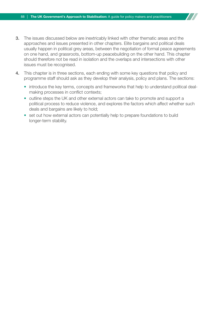- **3.** The issues discussed below are inextricably linked with other thematic areas and the approaches and issues presented in other chapters. Elite bargains and political deals usually happen in political grey areas, between the negotiation of formal peace agreements on one hand, and grassroots, bottom-up peacebuilding on the other hand. This chapter should therefore not be read in isolation and the overlaps and intersections with other issues must be recognised.
- 4. This chapter is in three sections, each ending with some key questions that policy and programme staff should ask as they develop their analysis, policy and plans. The sections:
	- introduce the key terms, concepts and frameworks that help to understand political dealmaking processes in conflict contexts;
	- outline steps the UK and other external actors can take to promote and support a political process to reduce violence, and explores the factors which affect whether such deals and bargains are likely to hold;
	- set out how external actors can potentially help to prepare foundations to build longer-term stability.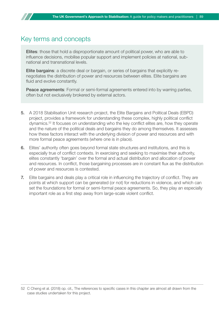## Key terms and concepts

Elites: those that hold a disproportionate amount of political power, who are able to influence decisions, mobilise popular support and implement policies at national, subnational and transnational levels.

Elite bargains: a discrete deal or bargain, or series of bargains that explicitly renegotiates the distribution of power and resources between elites. Elite bargains are fluid and evolve constantly.

Peace agreements: Formal or semi-formal agreements entered into by warring parties, often but not exclusively brokered by external actors.

- 5. A 2018 Stabilisation Unit research project, the Elite Bargains and Political Deals (EBPD) project, provides a framework for understanding these complex, highly political conflict dynamics.52 It focuses on understanding who the key conflict elites are, how they operate and the nature of the political deals and bargains they do among themselves. It assesses how these factors interact with the underlying division of power and resources and with more formal peace agreements (where one is in place).
- 6. Elites' authority often goes beyond formal state structures and institutions, and this is especially true of conflict contexts. In exercising and seeking to maximise their authority, elites constantly 'bargain' over the formal and actual distribution and allocation of power and resources. In conflict, those bargaining processes are in constant flux as the distribution of power and resources is contested.
- 7. Elite bargains and deals play a critical role in influencing the trajectory of conflict. They are points at which support can be generated (or not) for reductions in violence, and which can set the foundations for formal or semi-formal peace agreements. So, they play an especially important role as a first step away from large-scale violent conflict.

<sup>52</sup> C Cheng et al. (2018) op. cit., The references to specific cases in this chapter are almost all drawn from the case studies undertaken for this project.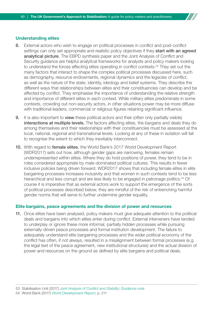#### Understanding elites

- 8. External actors who wish to engage on political processes in conflict and post-conflict settings can only set appropriate and realistic policy objectives if they start with an agreed analytical picture. The EBPD synthesis paper and the Joint Analysis of Conflict and Security guidance are helpful analytical frameworks for analysts and policy makers looking to understand the forces affecting elites operating in conflict contexts.<sup>53</sup> They set out the many factors that interact to shape the complex political processes discussed here, such as demography, resource endowments, regional dynamics and the legacies of conflict, as well as the nature of the state, identity, ideology and belief systems. They describe the different ways that relationships between elites and their constituencies can develop and be affected by conflict. They emphasise the importance of understanding the relative strength and importance of different elites in each context. While military elites predominate in some contexts, crowding out non-security actors, in other situations power may be more diffuse with traditional leaders, commercial or religious figures retaining significant influence.
- 9. It is also important to **view** these political actors and their (often only partially visible) interactions at multiple levels. The factors affecting elites, the bargains and deals they do among themselves and their relationships with their constituencies must be assessed at the local, national, regional and transnational levels. Looking at any of these in isolation will fail to recognise the extent to which they inevitably interconnect.
- 10. With regard to female elites, the World Bank's 2017 World Development Report (WDR2017) sets out how, although gender gaps are narrowing, females remain underrepresented within elites. Where they do hold positions of power, they tend to be in roles considered appropriate by male-dominated political cultures. This results in fewer inclusive policies being driven forward. WDR2017 shows that including female elites in elite bargaining processes increases inclusivity and that women in such contexts tend to be less hierarchical and less corrupt and are less likely to be engaged in patronage politics.<sup>54</sup> Of course it is imperative that as external actors work to support the emergence of the sorts of political processes described below, they are mindful of the risk of entrenching harmful gender norms that will serve to further undermine gender equality.

#### Elite bargains, peace agreements and the division of power and resources

11. Once elites have been analysed, policy makers must give adequate attention to the political deals and bargains into which elites enter during conflict. External interveners have tended to underplay or ignore these more informal, partially hidden processes while pursuing externally-driven peace processes and formal institution development. The failure to adequately understand elite bargaining processes and the wider political economy of the conflict has often, if not always, resulted in a misalignment between formal processes (e.g. the legal text of the peace agreement, new institutional structures) and the actual division of power and resources on the ground as defined by elite bargains and political deals.

53 Stabilisation Unit (2017) *[Joint Analysis of Conflict and Stability; Guidance note](https://www.gov.uk/government/publications/joint-analysis-of-conflict-and-stability-jacs-guidance-note)*

54 World Bank (2017) *[World Development Report](http://www.worldbank.org/en/publication/wdr2017)*, p. 211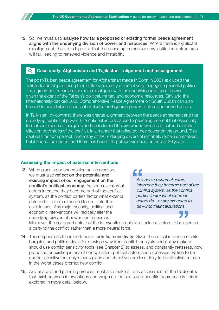12. So, we must also analyse how far a proposed or existing formal peace agreement aligns with the underlying division of power and resources. Where there is significant misalignment, there is a high risk that the peace agreement or new institutional structures will fail, leading to renewed violence and instability.

#### Case study: Afghanistan and Tajikistan – alignment and misalignment

The post-Taliban peace agreement for Afghanistan made in Bonn in 2001 excluded the Taliban leadership, offering them little opportunity or incentive to engage in peaceful politics. The agreement became ever more misaligned with the underlying realities of power, given the extent of the Taliban's political, military and economic resources. Similarly, the internationally-backed 2005 Comprehensive Peace Agreement on South Sudan can also be said to have failed because it excluded and ignored powerful elites and armed actors.

In Tajikistan, by contrast, there was greater alignment between the peace agreement and the underlying realities of power. International actors backed a peace agreement that essentially formalised a series of bargains and deals to end the civil war between political and military elites on both sides of the conflict, in a manner that reflected their power on the ground. This deal was far from perfect, and many of the underlying drivers of instability remain unresolved, but it ended the conflict and there has been little political violence for the last 20 years.

#### Assessing the impact of external interventions

13. When planning or undertaking an intervention, we must also reflect on the potential and existing impact of our engagement on the conflict's political economy. As soon as external actors intervene they become part of the conflict system, as the conflict parties factor what external actors do – or are expected to do – into their calculations. Any major security, political and economic interventions will radically alter the underlying division of power and resources.

*As soon as external actors intervene they become part of the conflict system, as the conflict parties factor what external actors do – or are expected to do – into their calculations*

Moreover, the scale and nature of the intervention could lead external actors to be seen as a party to the conflict, rather than a more neutral force.

- 14. This emphasises the importance of **conflict sensitivity**. Given the critical influence of elite bargains and political deals for moving away from conflict, analysts and policy makers should use conflict sensitivity tools (see Chapter 2) to assess, and constantly reassess, how proposed or existing interventions will affect political actors and processes. Failing to be conflict-sensitive not only means plans and objectives are less likely to be effective but can in the worst cases prompt new conflict.
- 15. Any analysis and planning process must also make a frank assessment of the trade-offs that exist between interventions and weigh up the costs and benefits appropriately (this is explored in more detail below).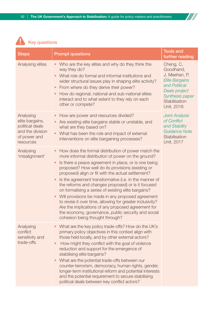$\boldsymbol{H}$ 



| <b>Steps</b>                                                                                     | <b>Prompt questions</b>                                                                                                                                                                                                                                                                                                                                                                                                                                                                                                                                                                                                                                                                                                                         | <b>Tools and</b><br>further reading                                                                                                                  |
|--------------------------------------------------------------------------------------------------|-------------------------------------------------------------------------------------------------------------------------------------------------------------------------------------------------------------------------------------------------------------------------------------------------------------------------------------------------------------------------------------------------------------------------------------------------------------------------------------------------------------------------------------------------------------------------------------------------------------------------------------------------------------------------------------------------------------------------------------------------|------------------------------------------------------------------------------------------------------------------------------------------------------|
| Analysing elites                                                                                 | Who are the key elites and why do they think the<br>way they do?<br>What role do formal and informal institutions and<br>wider structural issues play in shaping elite activity?<br>From where do they derive their power?<br>$\bullet$<br>How do regional, national and sub-national elites<br>$\bullet$<br>interact and to what extent to they rely on each<br>other or compete?                                                                                                                                                                                                                                                                                                                                                              | Cheng, C,<br>Goodhand,<br>J, Meehan, P,<br><b>Elite Bargains</b><br>and Political<br>Deals project<br>Synthesis paper<br>Stabilisation<br>Unit, 2018 |
| Analysing<br>elite bargains,<br>political deals<br>and the division<br>of power and<br>resources | How are power and resources divided?<br>Are existing elite bargains stable or unstable, and<br>$\bullet$<br>what are they based on?<br>What has been the role and impact of external<br>$\bullet$<br>interventions on elite bargaining processes?                                                                                                                                                                                                                                                                                                                                                                                                                                                                                               | <b>Joint Analysis</b><br>of Conflict<br>and Stability<br><b>Guidance Note</b><br>Stabilisation<br>Unit, 2017                                         |
| Analysing<br>'misalignment'                                                                      | How does the formal distribution of power match the<br>more informal distribution of power on the ground?<br>Is there a peace agreement in place, or is one being<br>$\bullet$<br>proposed? How well do its provisions (existing or<br>proposed) align or fit with the actual settlement?<br>Is the agreement transformative (i.e. in the manner of<br>the reforms and changes proposed) or is it focused<br>on formalising a series of existing elite bargains?<br>Will provisions be made in any proposed agreement<br>$\bullet$<br>to revise it over time, allowing for greater inclusivity?<br>Are the implications of any proposed agreement for<br>the economy, governance, public security and social<br>cohesion being thought through? |                                                                                                                                                      |
| Analysing<br>conflict<br>sensitivity and<br>trade-offs                                           | What are the key policy trade-offs? How do the UK's<br>primary policy objectives in this context align with<br>those held locally, and by other external actors?<br>How might they conflict with the goal of violence<br>reduction and support for the emergence of<br>stabilising elite bargains?<br>What are the potential trade-offs between our<br>counter-terrorism, democracy, human rights, gender,<br>longer-term institutional reform and potential interests<br>and the potential requirement to secure stabilising<br>political deals between key conflict actors?                                                                                                                                                                   |                                                                                                                                                      |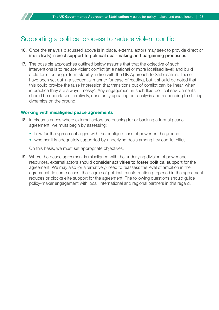## Supporting a political process to reduce violent conflict

- 16. Once the analysis discussed above is in place, external actors may seek to provide direct or (more likely) indirect support to political deal-making and bargaining processes.
- **17.** The possible approaches outlined below assume that that the objective of such interventions is to reduce violent conflict (at a national or more localised level) and build a platform for longer-term stability, in line with the UK Approach to Stabilisation. These have been set out in a sequential manner for ease of reading, but it should be noted that this could provide the false impression that transitions out of conflict can be linear, when in practice they are always 'messy'. Any engagement in such fluid political environments should be undertaken iteratively, constantly updating our analysis and responding to shifting dynamics on the ground.

### Working with misaligned peace agreements

- 18. In circumstances where external actors are pushing for or backing a formal peace agreement, we must begin by assessing:
	- how far the agreement aligns with the configurations of power on the ground;
	- whether it is adequately supported by underlying deals among key conflict elites.

On this basis, we must set appropriate objectives.

19. Where the peace agreement is misaligned with the underlying division of power and resources, external actors should consider activities to foster political support for the agreement. We may also (or alternatively) need to reassess the level of ambition in the agreement. In some cases, the degree of political transformation proposed in the agreement reduces or blocks elite support for the agreement. The following questions should guide policy-maker engagement with local, international and regional partners in this regard.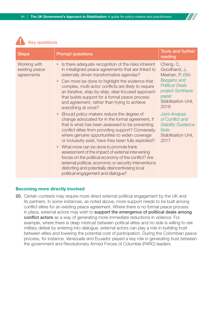

| <b>Steps</b>                                 | <b>Prompt questions</b>                                                                                                                                                                                                                                                                                                                                                                                                                        | <b>Tools and further</b><br>reading                                                                                                                         |
|----------------------------------------------|------------------------------------------------------------------------------------------------------------------------------------------------------------------------------------------------------------------------------------------------------------------------------------------------------------------------------------------------------------------------------------------------------------------------------------------------|-------------------------------------------------------------------------------------------------------------------------------------------------------------|
| Working with<br>existing peace<br>agreements | Is there adequate recognition of the risks inherent<br>in misaligned peace agreements that are linked to<br>externally driven transformative agendas?<br>Can more be done to highlight the evidence that<br>complex, multi-actor conflicts are likely to require<br>an iterative, step-by-step, deal-focused approach<br>that builds support for a formal peace process<br>and agreement, rather than trying to achieve<br>everything at once? | Cheng, C,<br>Goodhand, J,<br>Meehan, P, Elite<br><b>Bargains and</b><br><b>Political Deals</b><br>project Synthesis<br>paper<br>Stabilisation Unit,<br>2018 |
|                                              | Should policy-makers reduce the degree of<br>change advocated for in the formal agreement, if<br>that is what has been assessed to be preventing<br>conflict elites from providing support? Conversely,<br>where genuine opportunities to widen coverage<br>or inclusivity exist, have they been fully exploited?                                                                                                                              | <b>Joint Analysis</b><br>of Conflict and<br><b>Stability Guidance</b><br><b>Note</b><br><b>Stabilisation Unit,</b><br>2017                                  |
|                                              | What more can be done to promote frank<br>assessment of the impact of external intervening<br>forces on the political economy of the conflict? Are<br>external political, economic or security interventions<br>distorting and potentially disincentivising local<br>political engagement and dialogue?                                                                                                                                        |                                                                                                                                                             |

#### Becoming more directly involved

20. Certain contexts may require more direct external political engagement by the UK and its partners. In some instances, as noted above, more support needs to be built among conflict elites for an existing peace agreement. Where there is no formal peace process in place, external actors may wish to support the emergence of political deals among conflict actors as a way of generating more immediate reductions in violence. For example, where there is deep mistrust between political elites and no side is willing to risk military defeat by entering into dialogue, external actors can play a role in building trust between elites and lowering the potential cost of participation. During the Colombian peace process, for instance, Venezuela and Ecuador played a key role in generating trust between the government and Revolutionary Armed Forces of Columbia (FARC) leaders.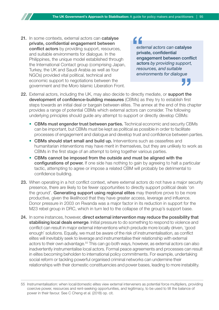21. In some contexts, external actors can catalyse private, confidential engagement between conflict actors by providing support, resources, and suitable environments for dialogue. In the Philippines, the unique model established through the International Contact group (comprising Japan, Turkey, the UK and Saudi Arabia as well as four NGOs) provided vital political, technical and economic support to negotiations between the government and the Moro Islamic Liberation Front.

*external actors can* catalyse private, confidential engagement between conflict actors *by providing support, resources, and suitable environments for dialogue*

- 22. External actors, including the UK, may also decide to directly mediate, or support the development of confidence-building measures (CBMs) as they try to establish first steps towards an initial deal or bargain between elites. The annex at the end of this chapter provides a range of potential CBMs which external actors can consider. The following underlying principles should guide any attempt to support or directly develop CBMs:
	- CBMs must engender trust between parties. Technical economic and security CBMs can be important, but CBMs must be kept as political as possible in order to facilitate processes of engagement and dialogue and develop trust and confidence between parties.
	- CBMs should start small and build up. Interventions such as ceasefires and humanitarian interventions may have merit in themselves, but they are unlikely to work as CBMs in the first stage of an attempt to bring together various parties.
	- CBMs cannot be imposed from the outside and must be aligned with the configurations of power. If one side has nothing to gain by agreeing to halt a particular tactic, attempting to agree or impose a related CBM will probably be detrimental to confidence building.
- 23. When operating in a hot conflict context, where external actors do not have a major security presence, there are likely to be fewer opportunities to directly support political deals 'on the ground'. Generating support using regional elites may therefore prove to be more productive, given the likelihood that they have greater access, leverage and influence. Donor pressure in 2003 on Rwanda was a major factor in its reduction in support for the M23 rebel group in DRC, which in turn led to the collapse of the group's support base.
- 24. In some instances, however, direct external intervention may reduce the possibility that stabilising local deals emerge. Initial pressure to do something to respond to violence and conflict can result in major external interventions which preclude more locally driven, 'good enough' solutions. Equally, we must be aware of the risk of instrumentalisation, as conflict elites will inevitably seek to leverage and instrumentalise their relationship with external actors to their own advantage.<sup>55</sup> This can go both ways, however, as external actors can also inadvertently instrumentalise local actors. Formal peace agreements and processes can result in elites becoming beholden to international policy commitments. For example, undertaking social reform or tackling powerful organised criminal networks can undermine their relationships with their domestic constituencies and power bases, leading to more instability.

<sup>55</sup> Instrumentalisation: when local/domestic elites view external interveners as potential force multipliers, providing coercive power, resources and rent-seeking opportunities, and legitimacy, to be used to tilt the balance of power in their favour. See C Cheng et al. (2018) op. cit.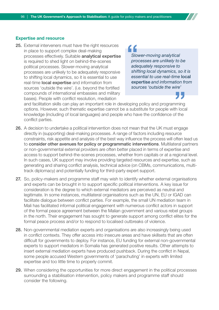#### Expertise and resource

25. External interveners must have the right resources in place to support complex deal-making processes effectively. Suitable analytical expertise is required to shed light on behind-the-scenes political processes. Slower-moving analytical processes are unlikely to be adequately responsive to shifting local dynamics, so it is essential to use real-time local expertise and information from sources 'outside the wire'. (i.e. beyond the fortified compounds of international embassies and military bases). People with conflict resolution, mediation

" *Slower-moving analytical processes are unlikely to be adequately responsive to shifting local dynamics, so it is essential to use real-time* local expertise *and information from sources 'outside the wire'*

and facilitation skills can play an important role in developing policy and programming options. However, such thematic expertise cannot be a substitute for people with local knowledge (including of local languages) and people who have the confidence of the conflict parties.

- 26. A decision to undertake a political intervention does not mean that the UK must engage directly in (supporting) deal-making processes. A range of factors including resource constraints, risk appetite and analysis of the best way influence the process will often lead us to consider other avenues for policy or programmatic interventions. Multilateral partners or non-governmental external providers are often better placed in terms of expertise and access to support behind-the-scenes processes, whether from capitals or at a regional level. In such cases, UK support may involve providing targeted resources and expertise, such as generating and sharing conflict analysis, technical advice (on CBMs, communications, multitrack diplomacy) and potentially funding for third-party expert support.
- 27. So, policy-makers and programme staff may wish to identify whether external organisations and experts can be brought in to support specific political interventions. A key issue for consideration is the degree to which external mediators are perceived as neutral and legitimate. In some instances, multilateral organisations such as the UN, EU or IGAD can facilitate dialogue between conflict parties. For example, the small UN mediation team in Mali has facilitated informal political engagement with numerous conflict actors in support of the formal peace agreement between the Malian government and various rebel groups in the north. Their engagement has sought to generate support among conflict elites for the formal peace process and/or to respond to localised outbreaks of violence.
- 28. Non-governmental mediation experts and organisations are also increasingly being used in conflict contexts. They offer access into insecure areas and have skillsets that are often difficult for governments to deploy. For instance, EU funding for external non-governmental experts to support mediators in Somalia has generated positive results. Other attempts to insert external mediation experts have produced pushback. During the conflict in Nepal, some people accused Western governments of 'parachuting' in experts with limited expertise and too little time to properly commit.
- 29. When considering the opportunities for more direct engagement in the political processes surrounding a stabilisation intervention, policy makers and programme staff should consider the following.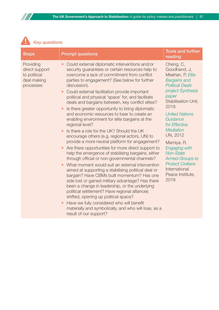

| <b>Steps</b>                                                            | <b>Prompt questions</b>                                                                                                                                                                                                                                                                                                                                                                                                                                                                                                                                                                                                                                                                                                                                                                                                                                                                                                                                                                                                                                                                                                                                                                                                                                                                                                                                      | <b>Tools and further</b><br>reading                                                                                                                                                                                                                                                                                                                                                                            |
|-------------------------------------------------------------------------|--------------------------------------------------------------------------------------------------------------------------------------------------------------------------------------------------------------------------------------------------------------------------------------------------------------------------------------------------------------------------------------------------------------------------------------------------------------------------------------------------------------------------------------------------------------------------------------------------------------------------------------------------------------------------------------------------------------------------------------------------------------------------------------------------------------------------------------------------------------------------------------------------------------------------------------------------------------------------------------------------------------------------------------------------------------------------------------------------------------------------------------------------------------------------------------------------------------------------------------------------------------------------------------------------------------------------------------------------------------|----------------------------------------------------------------------------------------------------------------------------------------------------------------------------------------------------------------------------------------------------------------------------------------------------------------------------------------------------------------------------------------------------------------|
| Providing<br>direct support<br>to political<br>deal making<br>processes | Could external diplomatic interventions and/or<br>security guarantees or certain resources help to<br>overcome a lack of commitment from conflict<br>parties to engagement? (See below for further<br>discussion).<br>Could external facilitation provide important<br>political and physical 'space' for, and facilitate<br>deals and bargains between, key conflict elites?<br>Is there greater opportunity to bring diplomatic<br>and economic resources to bear to create an<br>enabling environment for elite bargains at the<br>regional level?<br>Is there a role for the UK? Should the UK<br>encourage others (e.g. regional actors, UN) to<br>provide a more neutral platform for engagement?<br>Are there opportunities for more direct support to<br>help the emergence of stabilising bargains, either<br>through official or non-governmental channels?<br>What moment would suit an external intervention<br>aimed at supporting a stabilising political deal or<br>bargain? Have CBMs built momentum? Has one<br>side lost or gained military advantage? Has there<br>been a change in leadership, or the underlying<br>political settlement? Have regional alliances<br>shifted, opening up political space?<br>Have we fully considered who will benefit<br>materially and symbolically, and who will lose, as a<br>result of our support? | Cheng, C,<br>Goodhand, J,<br>Meehan, P, Elite<br><b>Bargains and</b><br><b>Political Deals</b><br>project Synthesis<br>paper<br>Stabilisation Unit,<br>2018<br><b>United Nations</b><br>Guidance<br>for Effective<br><b>Mediation</b><br><b>UN, 2012</b><br>Mamiya, R.<br>Engaging with<br><b>Non-State</b><br><b>Armed Groups to</b><br><b>Protect Civilians</b><br>International<br>Peace Institute,<br>2018 |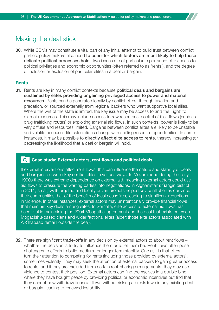## Making the deal stick

30. While CBMs may constitute a vital part of any initial attempt to build trust between conflict parties, policy makers also need to consider which factors are most likely to help these delicate political processes hold. Two issues are of particular importance: elite access to political privileges and economic opportunities (often referred to as 'rents'), and the degree of inclusion or exclusion of particular elites in a deal or bargain.

#### **Rents**

31. Rents are key in many conflict contexts because political deals and bargains are sustained by elites providing or gaining privileged access to power and material resources. Rents can be generated locally by conflict elites, through taxation and predation, or sourced externally from regional backers who want supportive local allies. Where the writ of the state is limited, the key issue may be access to and the 'right' to extract resources. This may include access to raw resources, control of illicit flows (such as drug trafficking routes) or exploiting external aid flows. In such contexts, power is likely to be very diffuse and resources limited. Bargains between conflict elites are likely to be unstable and volatile because elite calculations change with shifting resource opportunities. In some instances, it may be possible to **directly affect elite access to rents**, thereby increasing (or decreasing) the likelihood that a deal or bargain will hold.

#### Case study: External actors, rent flows and political deals I Q I

If external interventions affect rent flows, this can influence the nature and stability of deals and bargains between key conflict elites in various ways. In Mozambique during the early 1990s there was extreme dependence on external aid, meaning external actors could use aid flows to pressure the warring parties into negotiations. In Afghanistan's Sangin district in 2011, small, well-targeted and locally driven projects helped key conflict elites convince their communities that of the benefits of local ceasefires, leading to significant reductions in violence. In other instances, external actors may unintentionally provide financial flows that maintain key deals among elites. In Somalia, elite access to external aid flows has been vital in maintaining the 2004 Mbagathai agreement and the deal that exists between Mogadishu-based clans and wider factional elites (albeit those elite actors associated with Al-Shabaab remain outside the deal).

32. There are significant trade-offs in any decision by external actors to about rent flows – whether the decision is to try to influence them or to let them be. Rent flows often pose challenges to efforts to build medium- or longer-term stability. One risk is that elites turn their attention to competing for rents (including those provided by external actors), sometimes violently. They may seek the attention of external backers to gain greater access to rents, and if they are excluded from certain rent-sharing arrangements, they may use violence to contest their position. External actors can find themselves in a double bind, where they have bought peace by providing political or economic incentives but find that they cannot now withdraw financial flows without risking a breakdown in any existing deal or bargain, leading to renewed instability.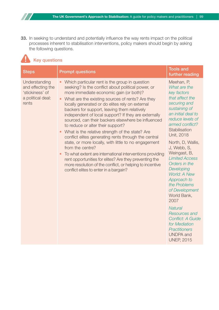33. In seeking to understand and potentially influence the way rents impact on the political processes inherent to stabilisation interventions, policy makers should begin by asking the following questions.

## Key questions

77

| <b>Steps</b>                                                                        | <b>Prompt questions</b>                                                                                                                                                                                                                                                                                                                                                                                                                                                                                                                                                                                                                                                                                                                                                                                                                                                      | <b>Tools and</b><br>further reading                                                                                                                                                                                                                                                                                                                                                                                                                                                                                                                   |
|-------------------------------------------------------------------------------------|------------------------------------------------------------------------------------------------------------------------------------------------------------------------------------------------------------------------------------------------------------------------------------------------------------------------------------------------------------------------------------------------------------------------------------------------------------------------------------------------------------------------------------------------------------------------------------------------------------------------------------------------------------------------------------------------------------------------------------------------------------------------------------------------------------------------------------------------------------------------------|-------------------------------------------------------------------------------------------------------------------------------------------------------------------------------------------------------------------------------------------------------------------------------------------------------------------------------------------------------------------------------------------------------------------------------------------------------------------------------------------------------------------------------------------------------|
| Understanding<br>and effecting the<br>'stickiness' of<br>a political deal:<br>rents | Which particular rent is the group in question<br>seeking? Is the conflict about political power, or<br>more immediate economic gain (or both)?<br>What are the existing sources of rents? Are they<br>locally generated or do elites rely on external<br>backers for support, leaving them relatively<br>independent of local support? If they are externally<br>sourced, can their backers elsewhere be influenced<br>to reduce or alter their support?<br>What is the relative strength of the state? Are<br>conflict elites generating rents through the central<br>state, or more locally, with little to no engagement<br>from the centre?<br>To what extent are international interventions providing<br>rent opportunities for elites? Are they preventing the<br>more resolution of the conflict, or helping to incentive<br>conflict elites to enter in a bargain? | Meehan, P,<br>What are the<br>key factors<br>that affect the<br>securing and<br>sustaining of<br>an initial deal to<br>reduce levels of<br>armed conflict?<br>Stabilisation<br>Unit, 2018<br>North, D, Wallis,<br>J, Webb, S,<br>Weingast, B,<br><b>Limited Access</b><br>Orders in the<br>Developing<br>World: A New<br>Approach to<br>the Problems<br>of Development<br>World Bank,<br>2007<br><b>Natural</b><br><b>Resources and</b><br><b>Conflict: A Guide</b><br>for Mediation<br><b>Practitioners</b><br><b>UNDPA</b> and<br><b>UNEP, 2015</b> |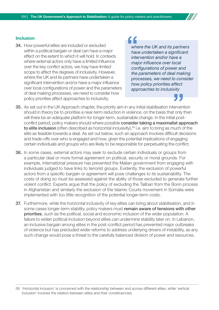#### Inclusion

34. How powerful elites are included or excluded within a political bargain or deal can have a major effect on the extent to which it will hold. In contexts where external actors only have a limited influence over the key conflict actors, we may have limited scope to affect the degrees of inclusivity. However, where the UK and its partners have undertaken a significant intervention and/or have a major influence over local configurations of power and the parameters of deal making processes, we need to consider how policy priorities affect approaches to inclusivity.

# "

*where the UK and its partners have undertaken a significant intervention and/or have a major influence over local configurations of power and the parameters of deal making processes, we need to consider how policy priorities affect approaches to inclusivity*

- 35. As set out in the UK Approach chapter, the priority aim in any initial stabilisation intervention should in theory be to prioritise a near-term reduction in violence, on the basis that only then will there be an adequate platform for longer-term, sustainable change. In the initial postconflict period, policy makers should where possible **consider taking a maximalist approach** to elite inclusion (often described as horizontal inclusivity),<sup>56</sup> i.e. aim to bring as much of the elite as feasible towards a deal. As set out below, such an approach involves difficult decisions and trade-offs over who is engaged and how, given the potential implications of engaging certain individuals and groups who are likely to be responsible for perpetuating the conflict.
- 36. In some cases, external actors may seek to exclude certain individuals or groups from a particular deal or more formal agreement on political, security or moral grounds. For example, international pressure has prevented the Malian government from engaging with individuals judged to have links to terrorist groups. Evidently, the exclusion of powerful actors from a specific bargain or agreement will pose challenges to its sustainability. The costs of doing so must be assessed against the ability of those excluded to generate further violent conflict. Experts argue that the policy of excluding the Taliban from the Bonn process in Afghanistan and similarly the exclusion of the Islamic Courts movement in Somalia were implemented with too little recognition of the potential longer-term costs.
- 37. Furthermore, while the horizontal inclusivity of key elites can bring about stabilisation, and in some cases longer-term stability, policy makers must remain aware of tensions with other priorities, such as the political, social and economic inclusion of the wider population. A failure to widen political inclusion beyond elites can undermine stability later on. In Lebanon, an inclusive bargain among elites in the post-conflict period has prevented major outbreaks of violence but has precluded wider reforms to address underlying drivers of instability, as any such change would pose a threat to the carefully balanced division of power and resources.

56 'Horizontal inclusion' is concerned with the relationship between and across different elites, while 'vertical inclusion' involves the relation between elites and their constituencies.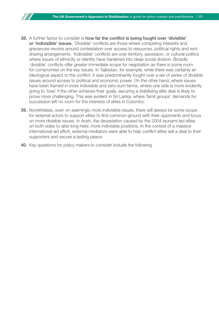- 38. A further factor to consider is how far the conflict is being fought over 'divisible' or 'indivisible' issues. 'Divisible' conflicts are those where competing interests and grievances revolve around contestation over access to resources, political rights and rentsharing arrangements. 'Indivisible' conflicts are over territory, secession, or cultural politics where issues of ethnicity or identity have hardened into deep social division. Broadly 'divisible' conflicts offer greater immediate scope for negotiation as there is some room for compromise on the key issues. In Tajikistan, for example, while there was certainly an ideological aspect to the conflict, it was predominantly fought over a set of series of divisible issues around access to political and economic power. On the other hand, where issues have been framed in more indivisible and zero-sum terms, where one side is more evidently going to 'lose' if the other achieves their goals, securing a stabilising elite deal is likely to prove more challenging. This was evident in Sri Lanka, where Tamil groups' demands for succession left no room for the interests of elites in Colombo.
- 39. Nonetheless, even on seemingly more indivisible issues, there will always be some scope for external actors to support elites to find common ground with their opponents and focus on more divisible issues. In Aceh, the devastation caused by the 2004 tsunami led elites on both sides to alter long-held, more indivisible positions. In the context of a massive international aid effort, external mediators were able to help conflict elites sell a deal to their supporters and secure a lasting peace.
- 40. Key questions for policy makers to consider include the following.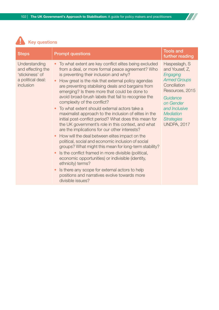$\boldsymbol{H}$ 



| <b>Steps</b>                                                                            | <b>Prompt questions</b>                                                                                                                                                                                                                                                                                                                                                                                                                                                                                                                                                                                                                                                                                                                                                                                                                                                                                                                                                                                                                                                                                   | <b>Tools and</b><br>further reading                                                                                                                                                                            |
|-----------------------------------------------------------------------------------------|-----------------------------------------------------------------------------------------------------------------------------------------------------------------------------------------------------------------------------------------------------------------------------------------------------------------------------------------------------------------------------------------------------------------------------------------------------------------------------------------------------------------------------------------------------------------------------------------------------------------------------------------------------------------------------------------------------------------------------------------------------------------------------------------------------------------------------------------------------------------------------------------------------------------------------------------------------------------------------------------------------------------------------------------------------------------------------------------------------------|----------------------------------------------------------------------------------------------------------------------------------------------------------------------------------------------------------------|
| Understanding<br>and effecting the<br>'stickiness' of<br>a political deal:<br>inclusion | To what extent are key conflict elites being excluded<br>from a deal, or more formal peace agreement? Who<br>is preventing their inclusion and why?<br>How great is the risk that external policy agendas<br>are preventing stabilising deals and bargains from<br>emerging? Is there more that could be done to<br>avoid broad-brush labels that fail to recognise the<br>complexity of the conflict?<br>To what extent should external actors take a<br>maximalist approach to the inclusion of elites in the<br>initial post-conflict period? What does this mean for<br>the UK government's role in this context, and what<br>are the implications for our other interests?<br>How will the deal between elites impact on the<br>political, social and economic inclusion of social<br>groups? What might this mean for long-term stability?<br>Is the conflict framed in more divisible (political,<br>economic opportunities) or indivisible (identity,<br>ethnicity) terms?<br>Is there any scope for external actors to help<br>positions and narratives evolve towards more<br>divisible issues? | Haspeslagh, S<br>and Yousef, Z,<br>Engaging<br><b>Armed Groups</b><br>Conciliation<br>Resources, 2015<br>Guidance<br>on Gender<br>and Inclusive<br><b>Mediation</b><br><b>Strategies</b><br><b>UNDPA, 2017</b> |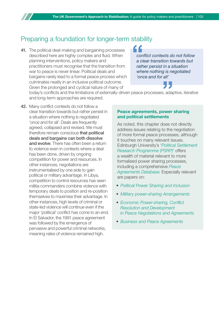## Preparing a foundation for longer-term stability

41. The political deal-making and bargaining processes described here are highly complex and fluid. When planning interventions, policy makers and practitioners must recognise that the transition from war to peace is never linear. Political deals and bargains rarely lead to a formal peace process which culminates neatly in an inclusive political outcome. Given the prolonged and cyclical nature of many of

*conflict contexts do not follow a clear transition towards but rather persist in a situation where nothing is negotiated 'once and for all'*

today's conflicts and the limitations of externally-driven peace processes, adaptive, iterative and long-term approaches are required.

42. Many conflict contexts do not follow a clear transition towards but rather persist in a situation where nothing is negotiated 'once and for all'. Deals are frequently agreed, collapsed and revised. We must therefore remain conscious that political deals and bargains can both dissolve and evolve. There has often been a return to violence even in contexts where a deal has been done, driven by ongoing competition for power and resources. In other instances, negotiations are instrumentalised by one side to gain political or military advantage. In Libya, competition to control resources has seen militia commanders combine violence with temporary deals to position and re-position themselves to maximise their advantage. In other instances, high levels of criminal or state-led violence will continue even if the major 'political' conflict has come to an end. In El Salvador, the 1991 peace agreement was followed by the emergence of pervasive and powerful criminal networks, meaning rates of violence remained high.

#### Peace agreements, power sharing and political settlements

As noted, this chapter does not directly address issues relating to the negotiation of more formal peace processes, although it touches on many relevant issues. Edinburgh University's '*[Political Settlement](http://www.politicalsettlements.org/)  [Research Programme \(PSRP\)](http://www.politicalsettlements.org/)*' offers a wealth of material relevant to more formalised power sharing processes, including a comprehensive *[Peace](https://www.peaceagreements.org/)  [Agreements Database](https://www.peaceagreements.org/)*. Especially relevant are papers on:

- *[Political Power Sharing and Inclusion](http://www.politicalsettlements.org/wp-content/uploads/2018/07/2018_Bell_PA-X-Political-Power-Sharing-Report.pdf)*
- *[Military power-sharing Arrangements](http://www.politicalsettlements.org/publications-database/military-power-sharing-and-inclusion-in-peace-processes/)*
- *[Economic Power-sharing, Conflict](http://www.politicalsettlements.org/wp-content/uploads/2018/07/2018_Bell_PA-X-Economic-Power-Sharing-Report.pdf)  [Resolution and Development](http://www.politicalsettlements.org/wp-content/uploads/2018/07/2018_Bell_PA-X-Economic-Power-Sharing-Report.pdf) [in Peace Negotiations and Agreements](http://www.politicalsettlements.org/wp-content/uploads/2018/07/2018_Bell_PA-X-Economic-Power-Sharing-Report.pdf)*
- *[Business and Peace Agreements](http://www.politicalsettlements.org/wp-content/uploads/2018/11/2018_Molloy_Business-Power-Sharing-Report.pdf)*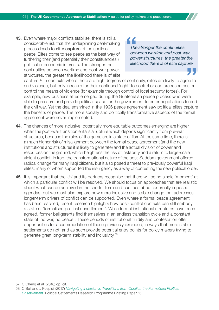43. Even where major conflicts stabilise, there is still a considerable risk that the underpinning deal-making process leads to **elite capture** of the spoils of peace. Elites come to see peace as the best way of furthering their (and potentially their constituencies') political or economic interests. The stronger the continuities between wartime and post-war power structures, the greater the likelihood there is of elite

" *The stronger the continuities between wartime and post-war power structures, the greater the likelihood there is of elite capture*

capture.57 In contexts where there are high degrees of continuity, elites are likely to agree to end violence, but only in return for their continued 'right' to control or capture resources or control the means of violence (for example through control of local security forces). For example, new business elites emerged during the Guatemalan peace process who were able to pressure and provide political space for the government to enter negotiations to end the civil war. Yet the deal enshrined in the 1996 peace agreement saw political elites capture the benefits of peace. The more socially and politically transformative aspects of the formal agreement were never implemented.

- 44. The chances of more inclusive, potentially more equitable outcomes emerging are higher when the post-war transition entails a rupture which departs significantly from pre-war structures, because the rules of the game are in a state of flux. At the same time, there is a much higher risk of misalignment between the formal peace agreement (and the new institutions and structures it is likely to generate) and the actual division of power and resources on the ground, which heightens the risk of instability and a return to large-scale violent conflict. In Iraq, the transformational nature of the post-Saddam government offered radical change for many Iraqi citizens, but it also posed a threat to previously powerful Iraqi elites, many of whom supported the insurgency as a way of contesting the new political order.
- 45. It is important that the UK and its partners recognise that there will be no single 'moment' at which a particular conflict will be resolved. We should focus on approaches that are realistic about what can be achieved in the shorter term and cautious about externally imposed agendas, but we must also explore how more inclusive and stable change that addresses longer-term drivers of conflict can be supported. Even where a formal peace agreement has been reached, recent research highlights how post-conflict contexts can still embody a state of 'formalised political unsettlement'. While formal institutional structures have been agreed, former belligerents find themselves in an endless transition cycle and a constant state of 'no war, no peace'. These periods of institutional fluidity and contestation offer opportunities for accommodation of those previously excluded, in ways that more stable settlements do not, and as such provide potential entry points for policy makers trying to generate great long-term stability and inclusivity.<sup>58</sup>

57 C Cheng et al. (2018) op. cit.

<sup>58</sup> C Bell and J Pospisil (2017) *[Navigating Inclusion in Transitions from Conflict: the Formalised Political](http://www.politicalsettlements.org/wp-content/uploads/2017/09/2017_BP_16_Bell_Pospisil_Navigating-Inclusion.pdf)  [Unsettlement](http://www.politicalsettlements.org/wp-content/uploads/2017/09/2017_BP_16_Bell_Pospisil_Navigating-Inclusion.pdf)*. Political Settlements Research Programme Briefing Paper 16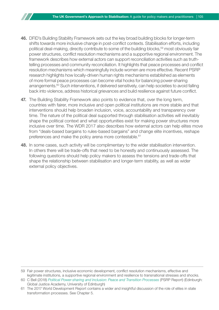- 46. DFID's Building Stability Framework sets out the key broad building blocks for longer-term shifts towards more inclusive change in post-conflict contexts. Stabilisation efforts, including political deal-making, directly contribute to some of the building blocks,<sup>59</sup> most obviously fair power structures, conflict resolution mechanisms and a supportive regional environment. The framework describes how external actors can support reconciliation activities such as truthtelling processes and community reconciliation. It highlights that peace processes and conflict resolution mechanisms which meaningfully include women are more effective. Recent PSRP research highlights how locally-driven human rights mechanisms established as elements of more formal peace processes can become vital hooks for balancing power-sharing arrangements.<sup>60</sup> Such interventions, if delivered sensitively, can help societies to avoid falling back into violence, address historical grievances and build resilience against future conflict.
- 47. The Building Stability Framework also points to evidence that, over the long term, countries with fairer, more inclusive and open political institutions are more stable and that interventions should help broaden inclusion, voice, accountability and transparency over time. The nature of the political deal supported through stabilisation activities will inevitably shape the political context and what opportunities exist for making power structures more inclusive over time. The WDR 2017 also describes how external actors can help elites move from "deals-based bargains to rules-based bargains" and change elite incentives, reshape preferences and make the policy arena more contestable.<sup>61</sup>
- 48. In some cases, such activity will be complimentary to the wider stabilisation intervention. In others there will be trade-offs that need to be honestly and continuously assessed. The following questions should help policy makers to assess the tensions and trade-offs that shape the relationship between stabilisation and longer-term stability, as well as wider external policy objectives.

<sup>59</sup> Fair power structures, inclusive economic development, conflict resolution mechanisms, effective and legitimate institutions, a supportive regional environment and resilience to transnational stresses and shocks.

<sup>60</sup> C Bell (2018) *[Political Power-sharing and Inclusion: Peace and Transition Processes](http://www.politicalsettlements.org/wp-content/uploads/2018/07/2018_Bell_PA-X-Political-Power-Sharing-Report.pdf)* (PSRP Report) (Edinburgh: Global Justice Academy, University of Edinburgh)

<sup>61</sup> The 2017 World Development Report contains a wider and insightful discussion of the role of elites in state transformation processes. See Chapter 5.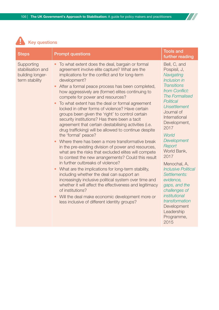$\prime\prime$ 



| <b>Steps</b>                                                          | <b>Prompt questions</b>                                                                                                                                                                                                                                                                                                                                                                                                                                                                                                                                                                                                                                                                                                                                                                                                                                                                                                                                                                                                                                                                                                                                                                                                                                                            | <b>Tools and</b><br>further reading                                                                                                                                                                                                                                                                                                                                                                                                                                         |
|-----------------------------------------------------------------------|------------------------------------------------------------------------------------------------------------------------------------------------------------------------------------------------------------------------------------------------------------------------------------------------------------------------------------------------------------------------------------------------------------------------------------------------------------------------------------------------------------------------------------------------------------------------------------------------------------------------------------------------------------------------------------------------------------------------------------------------------------------------------------------------------------------------------------------------------------------------------------------------------------------------------------------------------------------------------------------------------------------------------------------------------------------------------------------------------------------------------------------------------------------------------------------------------------------------------------------------------------------------------------|-----------------------------------------------------------------------------------------------------------------------------------------------------------------------------------------------------------------------------------------------------------------------------------------------------------------------------------------------------------------------------------------------------------------------------------------------------------------------------|
| Supporting<br>stabilisation and<br>building longer-<br>term stability | To what extent does the deal, bargain or formal<br>agreement involve elite capture? What are the<br>implications for the conflict and for long-term<br>development?<br>After a formal peace process has been completed,<br>how aggressively are (former) elites continuing to<br>compete for power and resources?<br>To what extent has the deal or formal agreement<br>locked in other forms of violence? Have certain<br>groups been given the 'right' to control certain<br>security institutions? Has there been a tacit<br>agreement that certain destabilising activities (i.e.<br>drug trafficking) will be allowed to continue despite<br>the 'formal' peace?<br>Where there has been a more transformative break<br>in the pre-existing division of power and resources,<br>what are the risks that excluded elites will compete<br>to contest the new arrangements? Could this result<br>in further outbreaks of violence?<br>What are the implications for long-term stability,<br>including whether the deal can support an<br>increasingly inclusive political system over time and<br>whether it will affect the effectiveness and legitimacy<br>of institutions?<br>Will the deal make economic development more or<br>less inclusive of different identity groups? | Bell, C, and<br>Pospisil, J,<br>Navigating<br>Inclusion in<br><b>Transitions</b><br>from Conflict:<br>The Formalised<br>Political<br><b>Unsettlement</b><br>Journal of<br>International<br>Development,<br>2017<br>World<br>Development<br>Report<br>World Bank,<br>2017<br>Menochal, A,<br><b>Inclusive Political</b><br>Settlements:<br>evidence,<br>gaps, and the<br>challenges of<br>institutional<br>transformation<br>Development<br>Leadership<br>Programme,<br>2015 |